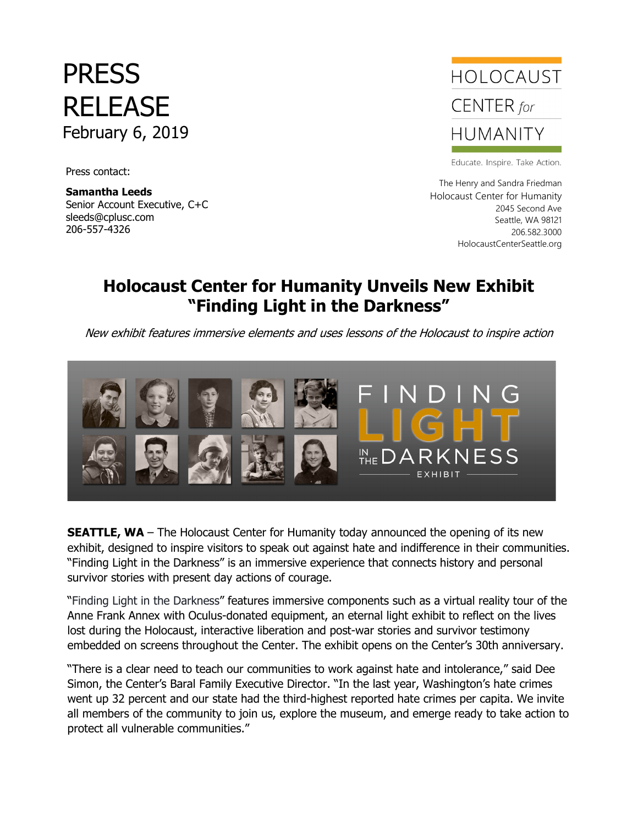## PRESS RELEASE February 6, 2019

Press contact:

 206-557-4326**Samantha Leeds** Senior Account Executive, C+C sleeds@cplusc.com



Educate. Inspire. Take Action.

The Henry and Sandra Friedman Holocaust Center for Humanity 2045 Second Ave Seattle, WA 98121 206.582.3000 HolocaustCenterSeattle.org

## **Holocaust Center for Humanity Unveils New Exhibit "Finding Light in the Darkness"**

New exhibit features immersive elements and uses lessons of the Holocaust to inspire action



**SEATTLE, WA** - The Holocaust Center for Humanity today announced the opening of its new exhibit, designed to inspire visitors to speak out against hate and indifference in their communities. "Finding Light in the Darkness" is an immersive experience that connects history and personal survivor stories with present day actions of courage.

"Finding Light in the Darkness" features immersive components such as a virtual reality tour of the Anne Frank Annex with Oculus-donated equipment, an eternal light exhibit to reflect on the lives lost during the Holocaust, interactive liberation and post-war stories and survivor testimony embedded on screens throughout the Center. The exhibit opens on the Center's 30th anniversary.

"There is a clear need to teach our communities to work against hate and intolerance," said Dee Simon, the Center's Baral Family Executive Director. "In the last year, Washington's hate crimes went up 32 percent and our state had the third-highest reported hate crimes per capita. We invite all members of the community to join us, explore the museum, and emerge ready to take action to protect all vulnerable communities."